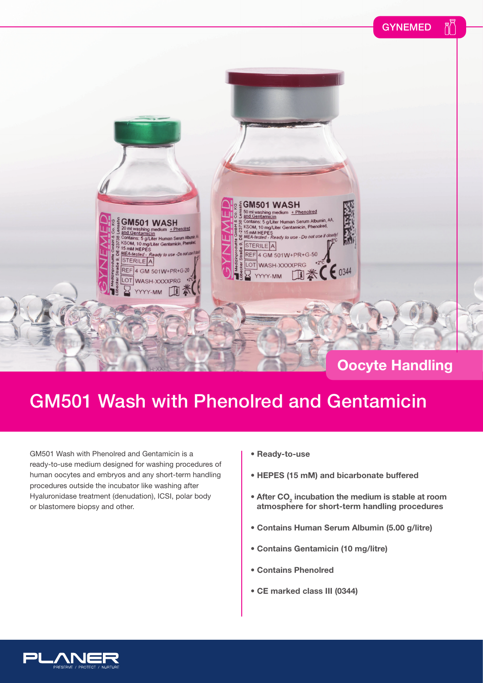Rξ GYNEMED **2 E GM501 WASH** Som washing medium + Phenolred<br>and Gentamicin<br>Contains: 5 g/Liter Human Serum Albumin, AA,<br>KSOM, 10 mg/Liter Gentamicin, Phenolred,<br>15 mM HEPES<br>MEA-tested - Ready to use - Do not use if  $\frac{dV}{dt}$ Ś ahn GM501 WASH 23738 20 mil washing medium<br>
and Gentramicin<br>
Contains: 5 g/Liter Human Serum Albumin<br>
KSOM, 10 mg/Liter Gentamicin, Phendiel<br>
15 mM HEPES<br>
MEA-tector + Phenolred DE-2 STERILE A MEA-tested REF 4 GM 501W+PR+G-50  $a$  - Do not  $U$ STERILE A LOT WASH-XXXXPRG ※ ( € 0344 REF 4 GM 501W+PR+G-20  $\mathbb{T}$ YYYY-MM LOT WASH-XXXXPRG Ħ  $\mathbb{Z}$  $MMA$ 

### **Oocyte Handling**

## GM501 Wash with Phenolred and Gentamicin

GM501 Wash with Phenolred and Gentamicin is a ready-to-use medium designed for washing procedures of human oocytes and embryos and any short-term handling procedures outside the incubator like washing after Hyaluronidase treatment (denudation), ICSI, polar body or blastomere biopsy and other.

- **Ready-to-use**
- **HEPES (15 mM) and bicarbonate buffered**
- **After CO<sub>2</sub> incubation the medium is stable at room atmosphere for short-term handling procedures**
- **Contains Human Serum Albumin (5.00 g/litre)**
- **Contains Gentamicin (10 mg/litre)**
- **Contains Phenolred**
- **CE marked class III (0344)**